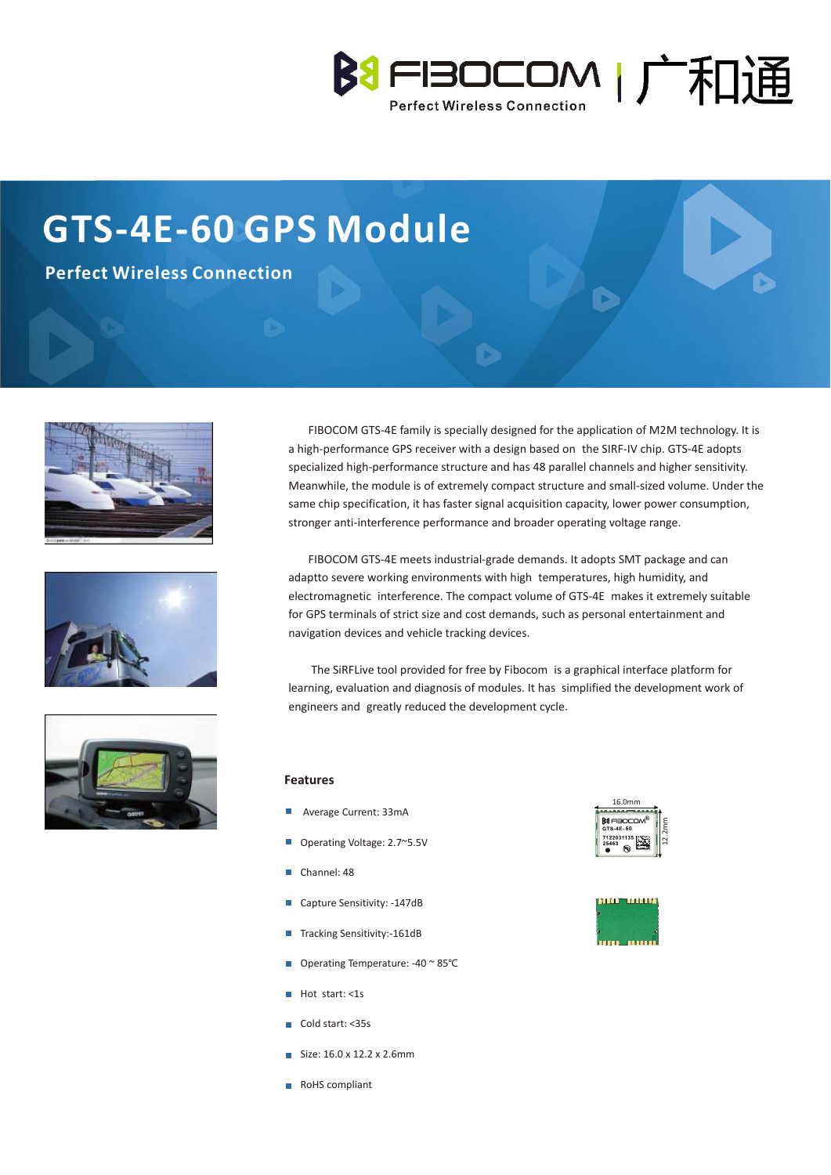

# **GTS-4E-60 GPS Module**

**Perfect Wireless Connection**







 FIBOCOM GTS-4E family is specially designed for the application of M2M technology. It is a high-performance GPS receiver with a design based on the SIRF-IV chip. GTS-4E adopts specialized high-performance structure and has 48 parallel channels and higher sensitivity. Meanwhile, the module is of extremely compact structure and small-sized volume. Under the same chip specification, it has faster signal acquisition capacity, lower power consumption, stronger anti-interference performance and broader operating voltage range.

 FIBOCOM GTS-4E meets industrial-grade demands. It adopts SMT package and can adaptto severe working environments with high temperatures, high humidity, and electromagnetic interference. The compact volume of GTS-4E makes it extremely suitable for GPS terminals of strict size and cost demands, such as personal entertainment and navigation devices and vehicle tracking devices.

 The SiRFLive tool provided for free by Fibocom is a graphical interface platform for learning, evaluation and diagnosis of modules. It has simplified the development work of engineers and greatly reduced the development cycle.

#### **Features**

- **Average Current: 33mA**
- Operating Voltage: 2.7~5.5V
- Channel: 48
- Capture Sensitivity: -147dB
- Tracking Sensitivity:-161dB
- Operating Temperature: -40 ~ 85°C
- $Hot start: < 1s$
- Cold start: <35s
- $Size: 16.0 \times 12.2 \times 2.6$ mm
- RoHS compliant